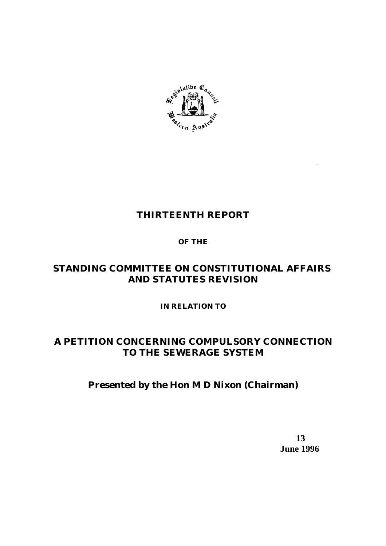

# **THIRTEENTH REPORT**

# **OF THE**

# **STANDING COMMITTEE ON CONSTITUTIONAL AFFAIRS AND STATUTES REVISION**

# **IN RELATION TO**

# **A PETITION CONCERNING COMPULSORY CONNECTION TO THE SEWERAGE SYSTEM**

# **Presented by the Hon M D Nixon (Chairman)**

 **13 June 1996**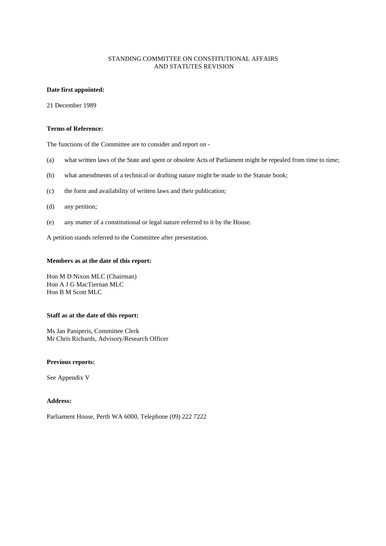#### STANDING COMMITTEE ON CONSTITUTIONAL AFFAIRS AND STATUTES REVISION

#### **Date first appointed:**

21 December 1989

#### **Terms of Reference:**

The functions of the Committee are to consider and report on -

- (a) what written laws of the State and spent or obsolete Acts of Parliament might be repealed from time to time;
- (b) what amendments of a technical or drafting nature might be made to the Statute book;
- (c) the form and availability of written laws and their publication;
- (d) any petition;
- (e) any matter of a constitutional or legal nature referred to it by the House.

A petition stands referred to the Committee after presentation.

#### **Members as at the date of this report:**

Hon M D Nixon MLC (Chairman) Hon A J G MacTiernan MLC Hon B M Scott MLC

#### **Staff as at the date of this report:**

Ms Jan Paniperis, Committee Clerk Mr Chris Richards, Advisory/Research Officer

#### **Previous reports:**

See Appendix V

#### **Address:**

Parliament House, Perth WA 6000, Telephone (09) 222 7222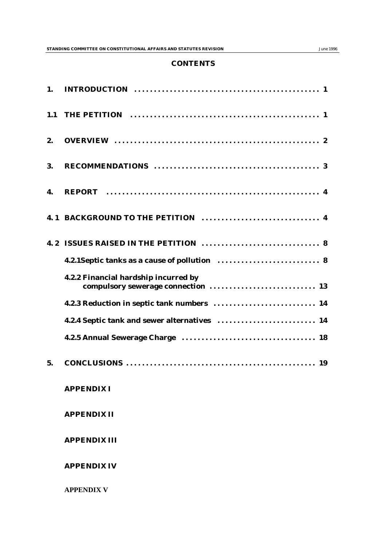#### **CONTENTS**

| 1.  |                                                                            |
|-----|----------------------------------------------------------------------------|
| 1.1 |                                                                            |
| 2.  |                                                                            |
| 3.  |                                                                            |
| 4.  |                                                                            |
|     |                                                                            |
|     |                                                                            |
|     |                                                                            |
|     | 4.2.2 Financial hardship incurred by<br>compulsory sewerage connection  13 |
|     | 4.2.3 Reduction in septic tank numbers  14                                 |
|     | 4.2.4 Septic tank and sewer alternatives  14                               |
|     |                                                                            |
| 5.  |                                                                            |
|     | <b>APPENDIX I</b>                                                          |
|     | <b>APPENDIX II</b>                                                         |
|     | <b>APPENDIX III</b>                                                        |
|     | <b>APPENDIX IV</b>                                                         |
|     | <b>APPENDIX V</b>                                                          |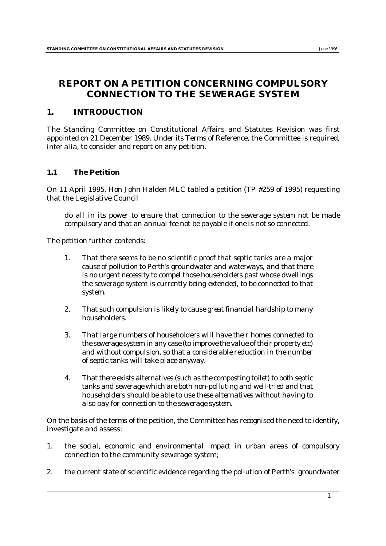# **REPORT ON A PETITION CONCERNING COMPULSORY CONNECTION TO THE SEWERAGE SYSTEM**

# **1. INTRODUCTION**

The Standing Committee on Constitutional Affairs and Statutes Revision was first appointed on 21 December 1989. Under its Terms of Reference, the Committee is required, *inter alia*, to consider and report on any petition.

# **1.1 The Petition**

On 11 April 1995, Hon John Halden MLC tabled a petition (*TP #259 of 1995*) requesting that the Legislative Council

*do all in its power to ensure that connection to the sewerage system not be made compulsory and that an annual fee not be payable if one is not so connected.* 

The petition further contends:

- *1. That there seems to be no scientific proof that septic tanks are a major cause of pollution to Perth's groundwater and waterways, and that there is no urgent necessity to compel those householders past whose dwellings the sewerage system is currently being extended, to be connected to that system.*
- *2. That such compulsion is likely to cause great financial hardship to many householders.*
- *3. That large numbers of householders will have their homes connected to the sewerage system in any case (to improve the value of their property etc) and without compulsion, so that a considerable reduction in the number of septic tanks will take place anyway.*
- *4. That there exists alternatives (such as the composting toilet) to both septic tanks and sewerage which are both non-polluting and well-tried and that householders should be able to use these alternatives without having to also pay for connection to the sewerage system.*

On the basis of the terms of the petition, the Committee has recognised the need to identify, investigate and assess:

- 1. the social, economic and environmental impact in urban areas of compulsory connection to the community sewerage system;
- 2. the current state of scientific evidence regarding the pollution of Perth's groundwater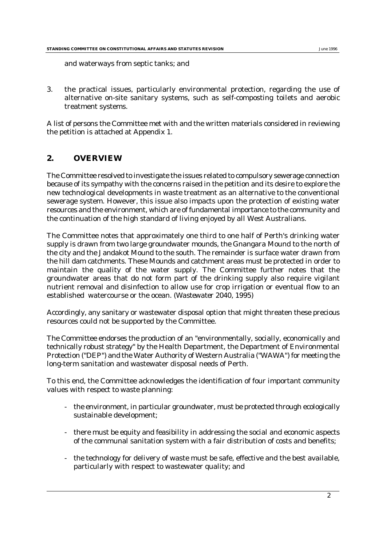and waterways from septic tanks; and

3. the practical issues, particularly environmental protection, regarding the use of alternative on-site sanitary systems, such as self-composting toilets and aerobic treatment systems.

A list of persons the Committee met with and the written materials considered in reviewing the petition is attached at Appendix 1.

# **2. OVERVIEW**

The Committee resolved to investigate the issues related to compulsory sewerage connection because of its sympathy with the concerns raised in the petition and its desire to explore the new technological developments in waste treatment as an alternative to the conventional sewerage system. However, this issue also impacts upon the protection of existing water resources and the environment, which are of fundamental importance to the community and the continuation of the high standard of living enjoyed by all West Australians.

The Committee notes that approximately one third to one half of Perth's drinking water supply is drawn from two large groundwater mounds, the Gnangara Mound to the north of the city and the Jandakot Mound to the south. The remainder is surface water drawn from the hill dam catchments. These Mounds and catchment areas must be protected in order to maintain the quality of the water supply. The Committee further notes that the groundwater areas that do not form part of the drinking supply also require vigilant nutrient removal and disinfection to allow use for crop irrigation or eventual flow to an established watercourse or the ocean. (*Wastewater 2040*, 1995)

Accordingly, any sanitary or wastewater disposal option that might threaten these precious resources could not be supported by the Committee.

The Committee endorses the production of an "environmentally, socially, economically and technically robust strategy" by the Health Department, the Department of Environmental Protection ("DEP") and the Water Authority of Western Australia ("WAWA") for meeting the long-term sanitation and wastewater disposal needs of Perth.

To this end, the Committee acknowledges the identification of four important community values with respect to waste planning:

- the environment, in particular groundwater, must be protected through ecologically sustainable development;
- there must be equity and feasibility in addressing the social and economic aspects of the communal sanitation system with a fair distribution of costs and benefits;
- the technology for delivery of waste must be safe, effective and the best available, particularly with respect to wastewater quality; and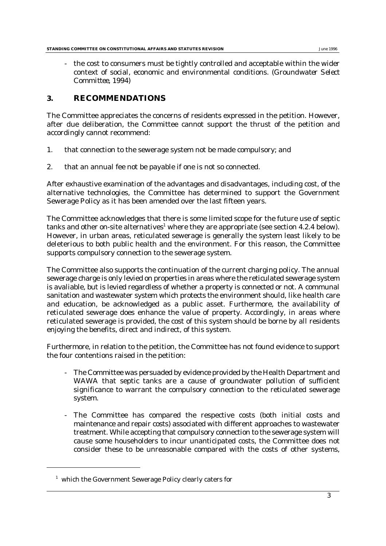the cost to consumers must be tightly controlled and acceptable within the wider context of social, economic and environmental conditions. (*Groundwater Select Committee*, 1994)

## **3. RECOMMENDATIONS**

The Committee appreciates the concerns of residents expressed in the petition. However, after due deliberation, the Committee cannot support the thrust of the petition and accordingly cannot recommend:

- 1. that connection to the sewerage system not be made compulsory; and
- 2. that an annual fee not be payable if one is not so connected.

After exhaustive examination of the advantages and disadvantages, including cost, of the alternative technologies, the Committee has determined to support the Government Sewerage Policy as it has been amended over the last fifteen years.

The Committee acknowledges that there is some limited scope for the future use of septic tanks and other on-site alternatives<sup>1</sup> where they are appropriate (see section 4.2.4 below). However, in urban areas, reticulated sewerage is generally the system least likely to be deleterious to both public health and the environment. For this reason, the Committee supports compulsory connection to the sewerage system.

The Committee also supports the continuation of the current charging policy. The annual sewerage charge is only levied on properties in areas where the reticulated sewerage system is avaliable, but is levied regardless of whether a property is connected or not. A communal sanitation and wastewater system which protects the environment should, like health care and education, be acknowledged as a public asset. Furthermore, the availability of reticulated sewerage does enhance the value of property. Accordingly, in areas where reticulated sewerage is provided, the cost of this system should be borne by all residents enjoying the benefits, direct and indirect, of this system.

Furthermore, in relation to the petition, the Committee has not found evidence to support the four contentions raised in the petition:

- The Committee was persuaded by evidence provided by the Health Department and WAWA that septic tanks are a cause of groundwater pollution of sufficient significance to warrant the compulsory connection to the reticulated sewerage system.
- The Committee has compared the respective costs (both initial costs and maintenance and repair costs) associated with different approaches to wastewater treatment. While accepting that compulsory connection to the sewerage system will cause some householders to incur unanticipated costs, the Committee does not consider these to be unreasonable compared with the costs of other systems,

 $1$  which the Government Sewerage Policy clearly caters for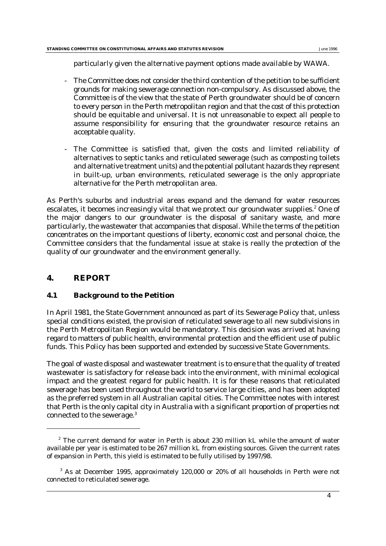particularly given the alternative payment options made available by WAWA.

- The Committee does not consider the third contention of the petition to be sufficient grounds for making sewerage connection non-compulsory. As discussed above, the Committee is of the view that the state of Perth groundwater should be of concern to every person in the Perth metropolitan region and that the cost of this protection should be equitable and universal. It is not unreasonable to expect all people to assume responsibility for ensuring that the groundwater resource retains an acceptable quality.
- The Committee is satisfied that, given the costs and limited reliability of alternatives to septic tanks and reticulated sewerage (such as composting toilets and alternative treatment units) and the potential pollutant hazards they represent in built-up, urban environments, reticulated sewerage is the only appropriate alternative for the Perth metropolitan area.

As Perth's suburbs and industrial areas expand and the demand for water resources escalates, it becomes increasingly vital that we protect our groundwater supplies.<sup>2</sup> One of the major dangers to our groundwater is the disposal of sanitary waste, and more particularly, the wastewater that accompanies that disposal. While the terms of the petition concentrates on the important questions of liberty, economic cost and personal choice, the Committee considers that the fundamental issue at stake is really the protection of the quality of our groundwater and the environment generally.

# **4. REPORT**

# **4.1 Background to the Petition**

In April 1981, the State Government announced as part of its Sewerage Policy that, unless special conditions existed, the provision of reticulated sewerage to all new subdivisions in the Perth Metropolitan Region would be mandatory. This decision was arrived at having regard to matters of public health, environmental protection and the efficient use of public funds. This Policy has been supported and extended by successive State Governments.

The goal of waste disposal and wastewater treatment is to ensure that the quality of treated wastewater is satisfactory for release back into the environment, with minimal ecological impact and the greatest regard for public health. It is for these reasons that reticulated sewerage has been used throughout the world to service large cities, and has been adopted as the preferred system in all Australian capital cities. The Committee notes with interest that Perth is the only capital city in Australia with a significant proportion of properties not connected to the sewerage.3

 $2^{\circ}$  The current demand for water in Perth is about 230 million kL while the amount of water available per year is estimated to be 267 million kL from existing sources. Given the current rates of expansion in Perth, this yield is estimated to be fully utilised by 1997/98.

 $3$  As at December 1995, approximately 120,000 or 20% of all households in Perth were not connected to reticulated sewerage.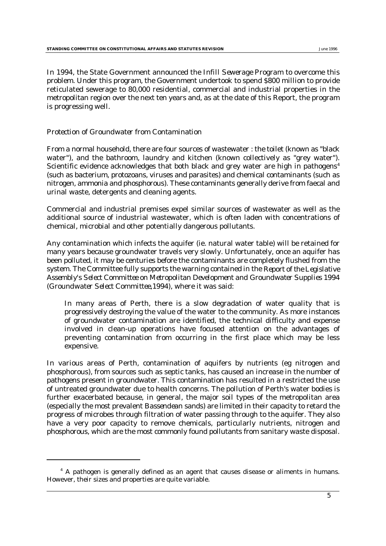In 1994, the State Government announced the *Infill Sewerage Program* to overcome this problem. Under this program, the Government undertook to spend \$800 million to provide reticulated sewerage to 80,000 residential, commercial and industrial properties in the metropolitan region over the next ten years and, as at the date of this Report, the program is progressing well.

### *Protection of Groundwater from Contamination*

From a normal household, there are four sources of wastewater : the toilet (known as "black water"), and the bathroom, laundry and kitchen (known collectively as "grey water"). Scientific evidence acknowledges that both black and grey water are high in pathogens<sup>4</sup> (such as bacterium, protozoans, viruses and parasites) and chemical contaminants (such as nitrogen, ammonia and phosphorous). These contaminants generally derive from faecal and urinal waste, detergents and cleaning agents.

Commercial and industrial premises expel similar sources of wastewater as well as the additional source of industrial wastewater, which is often laden with concentrations of chemical, microbial and other potentially dangerous pollutants.

Any contamination which infects the aquifer (ie. natural water table) will be retained for many years because groundwater travels very slowly. Unfortunately, once an aquifer has been polluted, it may be centuries before the contaminants are completely flushed from the system. The Committee fully supports the warning contained in the *Report of the Legislative Assembly's Select Committee on Metropolitan Development and Groundwater Supplies 1994 (Groundwater Select Committee*,1994*)*, where it was said:

In many areas of Perth, there is a slow degradation of water quality that is progressively destroying the value of the water to the community. As more instances of groundwater contamination are identified, the technical difficulty and expense involved in clean-up operations have focused attention on the advantages of preventing contamination from occurring in the first place which may be less expensive.

In various areas of Perth, contamination of aquifers by nutrients (eg nitrogen and phosphorous), from sources such as septic tanks, has caused an increase in the number of pathogens present in groundwater. This contamination has resulted in a restricted the use of untreated groundwater due to health concerns. The pollution of Perth's water bodies is further exacerbated because, in general, the major soil types of the metropolitan area (especially the most prevalent *Bassendean* sands) are limited in their capacity to retard the progress of microbes through filtration of water passing through to the aquifer. They also have a very poor capacity to remove chemicals, particularly nutrients, nitrogen and phosphorous, which are the most commonly found pollutants from sanitary waste disposal.

 $4$  A pathogen is generally defined as an agent that causes disease or aliments in humans. However, their sizes and properties are quite variable.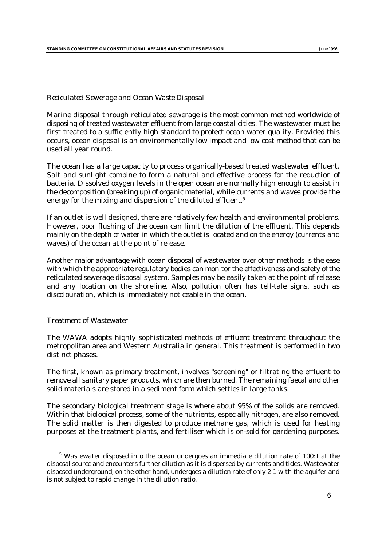#### *Reticulated Sewerage and Ocean Waste Disposal*

Marine disposal through reticulated sewerage is the most common method worldwide of disposing of treated wastewater effluent from large coastal cities. The wastewater must be first treated to a sufficiently high standard to protect ocean water quality. Provided this occurs, ocean disposal is an environmentally low impact and low cost method that can be used all year round.

The ocean has a large capacity to process organically-based treated wastewater effluent. Salt and sunlight combine to form a natural and effective process for the reduction of bacteria. Dissolved oxygen levels in the open ocean are normally high enough to assist in the decomposition (breaking up) of organic material, while currents and waves provide the energy for the mixing and dispersion of the diluted effluent.<sup>5</sup>

If an outlet is well designed, there are relatively few health and environmental problems. However, poor flushing of the ocean can limit the dilution of the effluent. This depends mainly on the depth of water in which the outlet is located and on the energy (currents and waves) of the ocean at the point of release.

Another major advantage with ocean disposal of wastewater over other methods is the ease with which the appropriate regulatory bodies can monitor the effectiveness and safety of the reticulated sewerage disposal system. Samples may be easily taken at the point of release and any location on the shoreline. Also, pollution often has tell-tale signs, such as discolouration, which is immediately noticeable in the ocean.

#### *Treatment of Wastewater*

The WAWA adopts highly sophisticated methods of effluent treatment throughout the metropolitan area and Western Australia in general. This treatment is performed in two distinct phases.

The first, known as primary treatment, involves "screening" or filtrating the effluent to remove all sanitary paper products, which are then burned. The remaining faecal and other solid materials are stored in a sediment form which settles in large tanks.

The secondary biological treatment stage is where about 95% of the solids are removed. Within that biological process, some of the nutrients, especially nitrogen, are also removed. The solid matter is then digested to produce methane gas, which is used for heating purposes at the treatment plants, and fertiliser which is on-sold for gardening purposes.

 $5$  Wastewater disposed into the ocean undergoes an immediate dilution rate of 100:1 at the disposal source and encounters further dilution as it is dispersed by currents and tides. Wastewater disposed underground, on the other hand, undergoes a dilution rate of only 2:1 with the aquifer and is not subject to rapid change in the dilution ratio.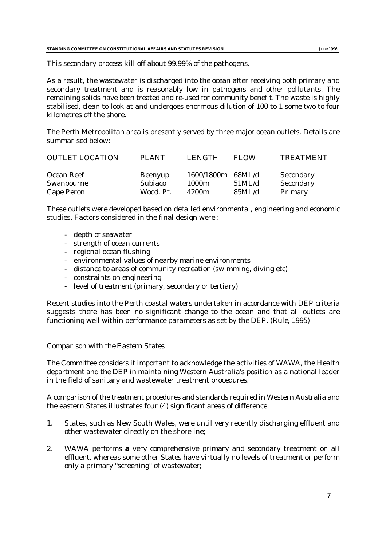This secondary process kill off about 99.99% of the pathogens.

As a result, the wastewater is discharged into the ocean after receiving both primary and secondary treatment and is reasonably low in pathogens and other pollutants. The remaining solids have been treated and re-used for community benefit. The waste is highly stabilised, clean to look at and undergoes enormous dilution of 100 to 1 some two to four kilometres off the shore.

The Perth Metropolitan area is presently served by three major ocean outlets. Details are summarised below:

| <b>OUTLET LOCATION</b> | <b>PLANT</b>   | LENGTH            | <b>FLOW</b> | <b>TREATMENT</b> |
|------------------------|----------------|-------------------|-------------|------------------|
| Ocean Reef             | <b>Beenyup</b> | 1600/1800m        | 68ML/d      | Secondary        |
| Swanbourne             | Subiaco        | 1000m             | 51ML/d      | Secondary        |
| Cape Peron             | Wood. Pt.      | 4200 <sub>m</sub> | 85ML/d      | Primary          |

These outlets were developed based on detailed environmental, engineering and economic studies. Factors considered in the final design were :

- depth of seawater
- strength of ocean currents
- regional ocean flushing
- environmental values of nearby marine environments
- distance to areas of community recreation (swimming, diving etc)
- constraints on engineering
- level of treatment (primary, secondary or tertiary)

Recent studies into the Perth coastal waters undertaken in accordance with DEP criteria suggests there has been no significant change to the ocean and that all outlets are functioning well within performance parameters as set by the DEP. (*Rule*, 1995)

#### *Comparison with the Eastern States*

The Committee considers it important to acknowledge the activities of WAWA, the Health department and the DEP in maintaining Western Australia's position as a national leader in the field of sanitary and wastewater treatment procedures.

A comparison of the treatment procedures and standards required in Western Australia and the eastern States illustrates four (4) significant areas of difference:

- 1. States, such as New South Wales, were until very recently discharging effluent and other wastewater directly on the shoreline;
- 2. WAWA performs **a** very comprehensive primary and secondary treatment on all effluent, whereas some other States have virtually no levels of treatment or perform only a primary "screening" of wastewater;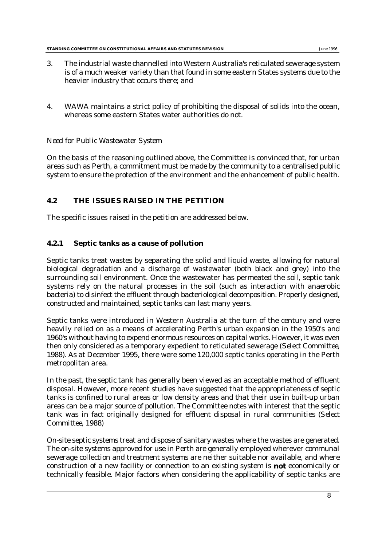- 3. The industrial waste channelled into Western Australia's reticulated sewerage system is of a much weaker variety than that found in some eastern States systems due to the heavier industry that occurs there; and
- 4. WAWA maintains a strict policy of prohibiting the disposal of solids into the ocean, whereas some eastern States water authorities do not.

# *Need for Public Wastewater System*

On the basis of the reasoning outlined above, the Committee is convinced that, for urban areas such as Perth, a commitment must be made by the community to a centralised public system to ensure the protection of the environment and the enhancement of public health.

# **4.2 THE ISSUES RAISED IN THE PETITION**

The specific issues raised in the petition are addressed below.

# **4.2.1 Septic tanks as a cause of pollution**

Septic tanks treat wastes by separating the solid and liquid waste, allowing for natural biological degradation and a discharge of wastewater (both black and grey) into the surrounding soil environment. Once the wastewater has permeated the soil, septic tank systems rely on the natural processes in the soil (such as interaction with anaerobic bacteria) to disinfect the effluent through bacteriological decomposition. Properly designed, constructed and maintained, septic tanks can last many years.

Septic tanks were introduced in Western Australia at the turn of the century and were heavily relied on as a means of accelerating Perth's urban expansion in the 1950's and 1960's without having to expend enormous resources on capital works. However, it was even then only considered as a temporary expedient to reticulated sewerage (*Select Committee*, 1988). As at December 1995, there were some 120,000 septic tanks operating in the Perth metropolitan area.

In the past, the septic tank has generally been viewed as an acceptable method of effluent disposal. However, more recent studies have suggested that the appropriateness of septic tanks is confined to rural areas or low density areas and that their use in built-up urban areas can be a major source of pollution. The Committee notes with interest that the septic tank was in fact originally designed for effluent disposal in rural communities (*Select Committee,* 1988)

On-site septic systems treat and dispose of sanitary wastes where the wastes are generated. The on-site systems approved for use in Perth are generally employed wherever communal sewerage collection and treatment systems are neither suitable nor available, and where construction of a new facility or connection to an existing system is **not** economically or technically feasible. Major factors when considering the applicability of septic tanks are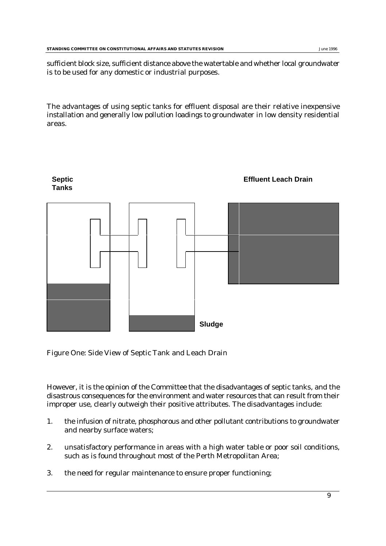sufficient block size, sufficient distance above the watertable and whether local groundwater is to be used for any domestic or industrial purposes.

The advantages of using septic tanks for effluent disposal are their relative inexpensive installation and generally low pollution loadings to groundwater in low density residential areas.



Figure One: Side View of Septic Tank and Leach Drain

However, it is the opinion of the Committee that the disadvantages of septic tanks, and the disastrous consequences for the environment and water resources that can result from their improper use, clearly outweigh their positive attributes. The disadvantages include:

- 1. the infusion of nitrate, phosphorous and other pollutant contributions to groundwater and nearby surface waters;
- 2. unsatisfactory performance in areas with a high water table or poor soil conditions, such as is found throughout most of the Perth Metropolitan Area;
- 3. the need for regular maintenance to ensure proper functioning;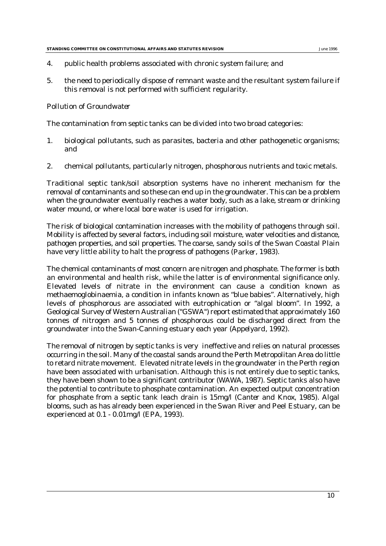- 4. public health problems associated with chronic system failure; and
- 5. the need to periodically dispose of remnant waste and the resultant system failure if this removal is not performed with sufficient regularity.

#### *Pollution of Groundwater*

The contamination from septic tanks can be divided into two broad categories:

- 1. biological pollutants, such as parasites, bacteria and other pathogenetic organisms; and
- 2. chemical pollutants, particularly nitrogen, phosphorous nutrients and toxic metals.

Traditional septic tank/soil absorption systems have no inherent mechanism for the removal of contaminants and so these can end up in the groundwater. This can be a problem when the groundwater eventually reaches a water body, such as a lake, stream or drinking water mound, or where local bore water is used for irrigation.

The risk of biological contamination increases with the mobility of pathogens through soil. Mobility is affected by several factors, including soil moisture, water velocities and distance, pathogen properties, and soil properties. The coarse, sandy soils of the Swan Coastal Plain have very little ability to halt the progress of pathogens (*Parker*, 1983).

The chemical contaminants of most concern are nitrogen and phosphate. The former is both an environmental and health risk, while the latter is of environmental significance only. Elevated levels of nitrate in the environment can cause a condition known as methaemoglobinaemia, a condition in infants known as "blue babies". Alternatively, high levels of phosphorous are associated with eutrophication or "algal bloom". In 1992, a Geological Survey of Western Australian ("GSWA") report estimated that approximately 160 tonnes of nitrogen and 5 tonnes of phosphorous could be discharged direct from the groundwater into the Swan-Canning estuary each year (*Appelyard*, 1992).

The removal of nitrogen by septic tanks is very ineffective and relies on natural processes occurring in the soil. Many of the coastal sands around the Perth Metropolitan Area do little to retard nitrate movement. Elevated nitrate levels in the groundwater in the Perth region have been associated with urbanisation. Although this is not entirely due to septic tanks, they have been shown to be a significant contributor (*WAWA,* 1987). Septic tanks also have the potential to contribute to phosphate contamination. An expected output concentration for phosphate from a septic tank leach drain is 15mg/l (*Canter and Knox*, 1985). Algal blooms, such as has already been experienced in the Swan River and Peel Estuary, can be experienced at 0.1 - 0.01mg/l (*EPA*, 1993).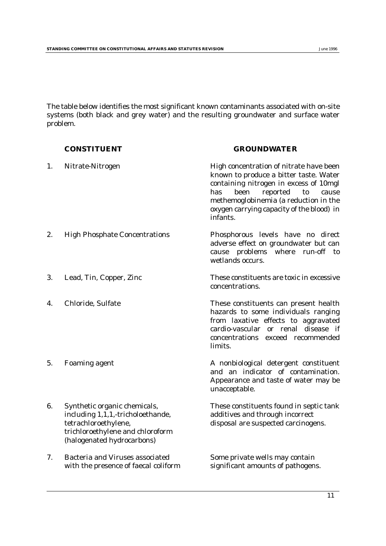The table below identifies the most significant known contaminants associated with on-site systems (both black and grey water) and the resulting groundwater and surface water problem.

|    | <b>CONSTITUENT</b>                                                                                                                                          | <b>GROUNDWATER</b>                                                                                                                                                                                                                                                      |
|----|-------------------------------------------------------------------------------------------------------------------------------------------------------------|-------------------------------------------------------------------------------------------------------------------------------------------------------------------------------------------------------------------------------------------------------------------------|
| 1. | Nitrate-Nitrogen                                                                                                                                            | High concentration of nitrate have been<br>known to produce a bitter taste. Water<br>containing nitrogen in excess of 10mgl<br>reported<br>has<br>been<br>to<br>cause<br>methemoglobinemia (a reduction in the<br>oxygen carrying capacity of the blood) in<br>infants. |
| 2. | <b>High Phosphate Concentrations</b>                                                                                                                        | Phosphorous levels have no direct<br>adverse effect on groundwater but can<br>cause problems<br>where run-off<br>to<br>wetlands occurs.                                                                                                                                 |
| 3. | Lead, Tin, Copper, Zinc                                                                                                                                     | These constituents are toxic in excessive<br>concentrations.                                                                                                                                                                                                            |
| 4. | Chloride, Sulfate                                                                                                                                           | These constituents can present health<br>hazards to some individuals ranging<br>from laxative effects to aggravated<br>cardio-vascular or renal disease if<br>concentrations exceed recommended<br>limits.                                                              |
| 5. | <b>Foaming agent</b>                                                                                                                                        | A nonbiological detergent constituent<br>and an indicator of contamination.<br>Appearance and taste of water may be<br>unacceptable.                                                                                                                                    |
| 6. | Synthetic organic chemicals,<br>including 1,1,1,-tricholoethande,<br>tetrachloroethylene,<br>trichloroethylene and chloroform<br>(halogenated hydrocarbons) | These constituents found in septic tank<br>additives and through incorrect<br>disposal are suspected carcinogens.                                                                                                                                                       |
| 7. | <b>Bacteria and Viruses associated</b><br>with the presence of faecal coliform                                                                              | Some private wells may contain<br>significant amounts of pathogens.                                                                                                                                                                                                     |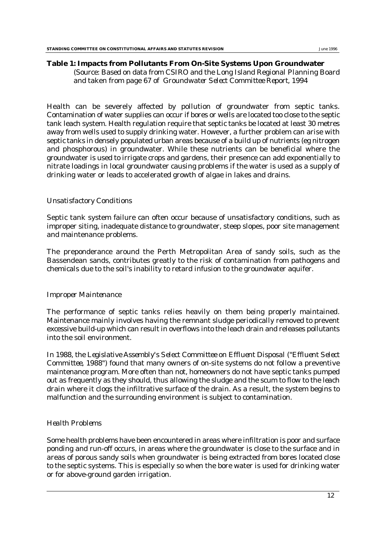#### **Table 1: Impacts from Pollutants From On-Site Systems Upon Groundwater**

(Source: Based on data from CSIRO and the Long Island Regional Planning Board and taken from page 67 of *Groundwater Select Committee Report*, 1994

Health can be severely affected by pollution of groundwater from septic tanks. Contamination of water supplies can occur if bores or wells are located too close to the septic tank leach system. Health regulation require that septic tanks be located at least 30 metres away from wells used to supply drinking water. However, a further problem can arise with septic tanks in densely populated urban areas because of a build up of nutrients (eg nitrogen and phosphorous) in groundwater. While these nutrients can be beneficial where the groundwater is used to irrigate crops and gardens, their presence can add exponentially to nitrate loadings in local groundwater causing problems if the water is used as a supply of drinking water or leads to accelerated growth of algae in lakes and drains.

#### *Unsatisfactory Conditions*

Septic tank system failure can often occur because of unsatisfactory conditions, such as improper siting, inadequate distance to groundwater, steep slopes, poor site management and maintenance problems.

The preponderance around the Perth Metropolitan Area of sandy soils, such as the Bassendean sands, contributes greatly to the risk of contamination from pathogens and chemicals due to the soil's inability to retard infusion to the groundwater aquifer.

#### *Improper Maintenance*

The performance of septic tanks relies heavily on them being properly maintained. Maintenance mainly involves having the remnant sludge periodically removed to prevent excessive build-up which can result in overflows into the leach drain and releases pollutants into the soil environment.

In 1988, the *Legislative Assembly's Select Committee on Effluent Disposal ("Effluent Select Committee,* 1988*")* found that many owners of on-site systems do not follow a preventive maintenance program. More often than not, homeowners do not have septic tanks pumped out as frequently as they should, thus allowing the sludge and the scum to flow to the leach drain where it clogs the infiltrative surface of the drain. As a result, the system begins to malfunction and the surrounding environment is subject to contamination.

### *Health Problems*

Some health problems have been encountered in areas where infiltration is poor and surface ponding and run-off occurs, in areas where the groundwater is close to the surface and in areas of porous sandy soils when groundwater is being extracted from bores located close to the septic systems. This is especially so when the bore water is used for drinking water or for above-ground garden irrigation.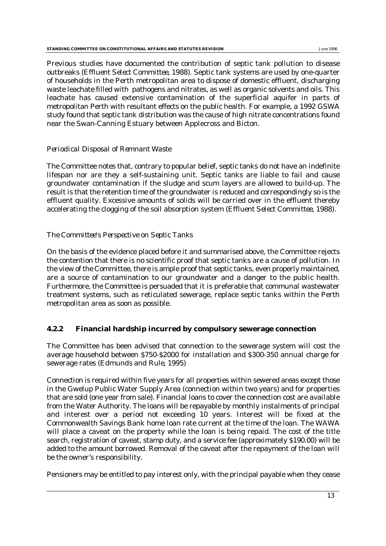Previous studies have documented the contribution of septic tank pollution to disease outbreaks (*Effluent Select Committee,* 1988). Septic tank systems are used by one-quarter of households in the Perth metropolitan area to dispose of domestic effluent, discharging waste leachate filled with pathogens and nitrates, as well as organic solvents and oils. This leachate has caused extensive contamination of the superficial aquifer in parts of metropolitan Perth with resultant effects on the public health. For example, a 1992 GSWA study found that septic tank distribution was the cause of high nitrate concentrations found near the Swan-Canning Estuary between Applecross and Bicton.

### *Periodical Disposal of Remnant Waste*

The Committee notes that, contrary to popular belief, septic tanks do not have an indefinite lifespan nor are they a self-sustaining unit. Septic tanks are liable to fail and cause groundwater contamination if the sludge and scum layers are allowed to build-up. The result is that the retention time of the groundwater is reduced and correspondingly so is the effluent quality. Excessive amounts of solids will be carried over in the effluent thereby accelerating the clogging of the soil absorption system (*Effluent Select Committee*, 1988).

### *The Committee's Perspective on Septic Tanks*

On the basis of the evidence placed before it and summarised above, the Committee rejects the contention that there is no scientific proof that septic tanks are a cause of pollution. In the view of the Committee, there is ample proof that septic tanks, even properly maintained, are a source of contamination to our groundwater and a danger to the public health. Furthermore, the Committee is persuaded that it is preferable that communal wastewater treatment systems, such as reticulated sewerage, replace septic tanks within the Perth metropolitan area as soon as possible.

### **4.2.2 Financial hardship incurred by compulsory sewerage connection**

The Committee has been advised that connection to the sewerage system will cost the average household between \$750-\$2000 for installation and \$300-350 annual charge for sewerage rates (*Edmunds and Rule*, 1995)

Connection is required within five years for all properties within sewered areas except those in the Gwelup Public Water Supply Area (connection within two years) and for properties that are sold (one year from sale). Financial loans to cover the connection cost are available from the Water Authority. The loans will be repayable by monthly instalments of principal and interest over a period not exceeding 10 years. Interest will be fixed at the Commonwealth Savings Bank home loan rate current at the time of the loan. The WAWA will place a caveat on the property while the loan is being repaid. The cost of the title search, registration of caveat, stamp duty, and a service fee (approximately \$190.00) will be added to the amount borrowed. Removal of the caveat after the repayment of the loan will be the owner's responsibility.

Pensioners may be entitled to pay interest only, with the principal payable when they cease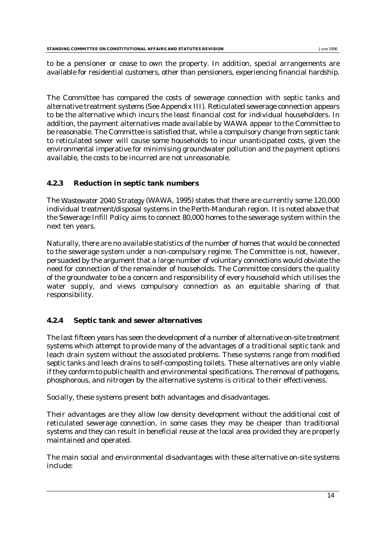to be a pensioner or cease to own the property. In addition, special arrangements are available for residential customers, other than pensioners, experiencing financial hardship.

The Committee has compared the costs of sewerage connection with septic tanks and alternative treatment systems (See Appendix III). Reticulated sewerage connection appears to be the alternative which incurs the least financial cost for individual householders. In addition, the payment alternatives made available by WAWA appear to the Committee to be reasonable. The Committee is satisfied that, while a compulsory change from septic tank to reticulated sewer will cause some households to incur unanticipated costs, given the environmental imperative for minimising groundwater pollution and the payment options available, the costs to be incurred are not unreasonable.

## **4.2.3 Reduction in septic tank numbers**

The *Wastewater 2040 Strategy* (WAWA, 1995) states that there are currently some 120,000 individual treatment/disposal systems in the Perth-Mandurah region. It is noted above that the Sewerage Infill Policy aims to connect 80,000 homes to the sewerage system within the next ten years.

Naturally, there are no available statistics of the number of homes that would be connected to the sewerage system under a non-compulsory regime. The Committee is not, however, persuaded by the argument that a large number of voluntary connections would obviate the need for connection of the remainder of households. The Committee considers the quality of the groundwater to be a concern and responsibility of every household which utilises the water supply, and views compulsory connection as an equitable sharing of that responsibility.

# **4.2.4 Septic tank and sewer alternatives**

The last fifteen years has seen the development of a number of alternative on-site treatment systems which attempt to provide many of the advantages of a traditional septic tank and leach drain system without the associated problems. These systems range from modified septic tanks and leach drains to self-composting toilets. These alternatives are only viable if they conform to public health and environmental specifications. The removal of pathogens, phosphorous, and nitrogen by the alternative systems is critical to their effectiveness.

Socially, these systems present both advantages and disadvantages.

Their advantages are they allow low density development without the additional cost of reticulated sewerage connection, in some cases they may be cheaper than traditional systems and they can result in beneficial reuse at the local area provided they are properly maintained and operated.

The main social and environmental disadvantages with these alternative on-site systems include: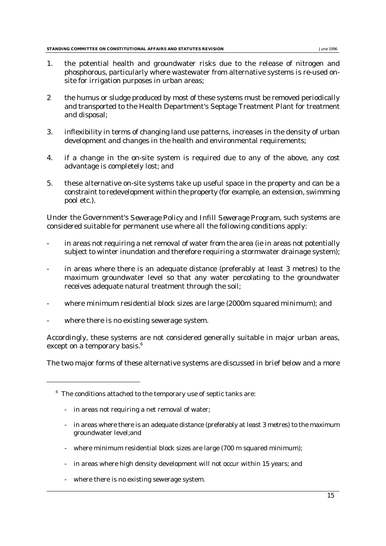- 1. the potential health and groundwater risks due to the release of nitrogen and phosphorous, particularly where wastewater from alternative systems is re-used onsite for irrigation purposes in urban areas;
- 2 the humus or sludge produced by most of these systems must be removed periodically and transported to the Health Department's Septage Treatment Plant for treatment and disposal;
- 3. inflexibility in terms of changing land use patterns, increases in the density of urban development and changes in the health and environmental requirements;
- 4. if a change in the on-site system is required due to any of the above, any cost advantage is completely lost; and
- 5. these alternative on-site systems take up useful space in the property and can be a constraint to redevelopment within the property (for example, an extension, swimming pool etc.).

Under the Government's *Sewerage Policy and Infill Sewerage Program*, such systems are considered suitable for permanent use where all the following conditions apply:

- in areas not requiring a net removal of water from the area (ie in areas not potentially subject to winter inundation and therefore requiring a stormwater drainage system);
- in areas where there is an adequate distance (preferably at least 3 metres) to the maximum groundwater level so that any water percolating to the groundwater receives adequate natural treatment through the soil;
- where minimum residential block sizes are large (2000m squared minimum); and
- where there is no existing sewerage system.

Accordingly, these systems are not considered generally suitable in major urban areas, except on a temporary basis.<sup>6</sup>

The two major forms of these alternative systems are discussed in brief below and a more

- in areas where there is an adequate distance (preferably at least 3 metres) to the maximum groundwater level;and
- where minimum residential block sizes are large (700 m squared minimum);
- in areas where high density development will not occur within 15 years; and
- where there is no existing sewerage system.

 $6$  The conditions attached to the temporary use of septic tanks are:

<sup>-</sup> in areas not requiring a net removal of water;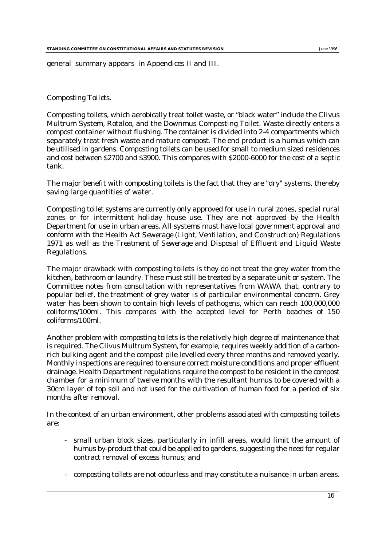general summary appears in Appendices II and III.

#### *Composting Toilets.*

Composting toilets, which aerobically treat toilet waste, or "black water" include the Clivus Multrum System, Rotaloo, and the Downmus Composting Toilet. Waste directly enters a compost container without flushing. The container is divided into 2-4 compartments which separately treat fresh waste and mature compost. The end product is a humus which can be utilised in gardens. Composting toilets can be used for small to medium sized residences and cost between \$2700 and \$3900. This compares with \$2000-6000 for the cost of a septic tank.

The major benefit with composting toilets is the fact that they are "dry" systems, thereby saving large quantities of water.

Composting toilet systems are currently only approved for use in rural zones, special rural zones or for intermittent holiday house use. They are not approved by the Health Department for use in urban areas. All systems must have local government approval and conform with the *Health Act Sewerage (Light, Ventilation, and Construction) Regulations 1971* as well as the *Treatment of Sewerage and Disposal of Effluent and Liquid Waste Regulations.*

The major drawback with composting toilets is they do not treat the grey water from the kitchen, bathroom or laundry. These must still be treated by a separate unit or system. The Committee notes from consultation with representatives from WAWA that, contrary to popular belief, the treatment of grey water is of particular environmental concern. Grey water has been shown to contain high levels of pathogens, which can reach 100,000,000 coliforms/100ml. This compares with the accepted level for Perth beaches of 150 coliforms/100ml.

Another problem with composting toilets is the relatively high degree of maintenance that is required. The Clivus Multrum System, for example, requires weekly addition of a carbonrich bulking agent and the compost pile levelled every three months and removed yearly. Monthly inspections are required to ensure correct moisture conditions and proper effluent drainage. Health Department regulations require the compost to be resident in the compost chamber for a minimum of twelve months with the resultant humus to be covered with a 30cm layer of top soil and not used for the cultivation of human food for a period of six months after removal.

In the context of an urban environment, other problems associated with composting toilets are:

- small urban block sizes, particularly in infill areas, would limit the amount of humus by-product that could be applied to gardens, suggesting the need for regular contract removal of excess humus; and
- composting toilets are not odourless and may constitute a nuisance in urban areas.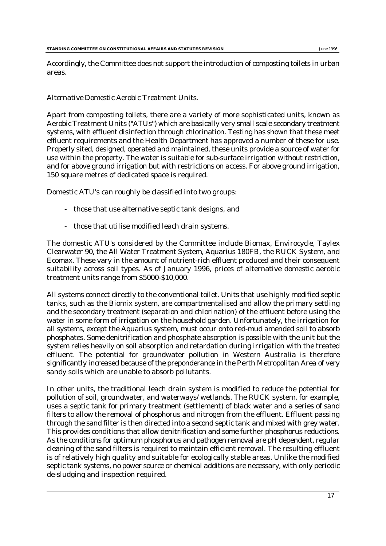Accordingly, the Committee does not support the introduction of composting toilets in urban areas.

#### *Alternative Domestic Aerobic Treatment Units.*

Apart from composting toilets, there are a variety of more sophisticated units, known as Aerobic Treatment Units ("ATUs") which are basically very small scale secondary treatment systems, with effluent disinfection through chlorination. Testing has shown that these meet effluent requirements and the Health Department has approved a number of these for use. Properly sited, designed, operated and maintained, these units provide a source of water for use within the property. The water is suitable for sub-surface irrigation without restriction, and for above ground irrigation but with restrictions on access. For above ground irrigation, 150 square metres of dedicated space is required.

Domestic ATU's can roughly be classified into two groups:

- those that use alternative septic tank designs, and
- those that utilise modified leach drain systems.

The domestic ATU's considered by the Committee include Biomax, Envirocycle, Taylex Clearwater 90, the All Water Treatment System, Aquarius 180FB, the RUCK System, and Ecomax. These vary in the amount of nutrient-rich effluent produced and their consequent suitability across soil types. As of January 1996, prices of alternative domestic aerobic treatment units range from \$5000-\$10,000.

All systems connect directly to the conventional toilet. Units that use highly modified septic tanks, such as the Biomix system, are compartmentalised and allow the primary settling and the secondary treatment (separation and chlorination) of the effluent before using the water in some form of irrigation on the household garden. Unfortunately, the irrigation for all systems, except the Aquarius system, must occur onto red-mud amended soil to absorb phosphates. Some denitrification and phosphate absorption is possible with the unit but the system relies heavily on soil absorption and retardation during irrigation with the treated effluent. The potential for groundwater pollution in Western Australia is therefore significantly increased because of the preponderance in the Perth Metropolitan Area of very sandy soils which are unable to absorb pollutants.

In other units, the traditional leach drain system is modified to reduce the potential for pollution of soil, groundwater, and waterways/ wetlands. The RUCK system, for example, uses a septic tank for primary treatment (settlement) of black water and a series of sand filters to allow the removal of phosphorus and nitrogen from the effluent. Effluent passing through the sand filter is then directed into a second septic tank and mixed with grey water. This provides conditions that allow denitrification and some further phosphorus reductions. As the conditions for optimum phosphorus and pathogen removal are pH dependent, regular cleaning of the sand filters is required to maintain efficient removal. The resulting effluent is of relatively high quality and suitable for ecologically stable areas. Unlike the modified septic tank systems, no power source or chemical additions are necessary, with only periodic de-sludging and inspection required.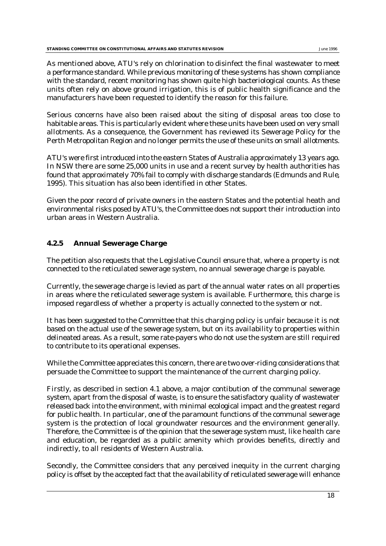As mentioned above, ATU's rely on chlorination to disinfect the final wastewater to meet a performance standard. While previous monitoring of these systems has shown compliance with the standard, recent monitoring has shown quite high bacteriological counts. As these units often rely on above ground irrigation, this is of public health significance and the manufacturers have been requested to identify the reason for this failure.

Serious concerns have also been raised about the siting of disposal areas too close to habitable areas. This is particularly evident where these units have been used on very small allotments. As a consequence, the Government has reviewed its Sewerage Policy for the Perth Metropolitan Region and no longer permits the use of these units on small allotments.

ATU's were first introduced into the eastern States of Australia approximately 13 years ago. In NSW there are some 25,000 units in use and a recent survey by health authorities has found that approximately 70% fail to comply with discharge standards (*Edmunds and Rule*, 1995). This situation has also been identified in other States.

Given the poor record of private owners in the eastern States and the potential heath and environmental risks posed by ATU's, the Committee does not support their introduction into urban areas in Western Australia.

# **4.2.5 Annual Sewerage Charge**

The petition also requests that the Legislative Council ensure that, where a property is not connected to the reticulated sewerage system, no annual sewerage charge is payable.

Currently, the sewerage charge is levied as part of the annual water rates on all properties in areas where the reticulated sewerage system is available. Furthermore, this charge is imposed regardless of whether a property is actually connected to the system or not.

It has been suggested to the Committee that this charging policy is unfair because it is not based on the actual use of the sewerage system, but on its availability to properties within delineated areas. As a result, some rate-payers who do not use the system are still required to contribute to its operational expenses.

While the Committee appreciates this concern, there are two over-riding considerations that persuade the Committee to support the maintenance of the current charging policy.

Firstly, as described in section 4.1 above, a major contibution of the communal sewerage system, apart from the disposal of waste, is to ensure the satisfactory quality of wastewater released back into the environment, with minimal ecological impact and the greatest regard for public health. In particular, one of the paramount functions of the communal sewerage system is the protection of local groundwater resources and the environment generally. Therefore, the Committee is of the opinion that the sewerage system must, like health care and education, be regarded as a public amenity which provides benefits, directly and indirectly, to all residents of Western Australia.

Secondly, the Committee considers that any perceived inequity in the current charging policy is offset by the accepted fact that the availability of reticulated sewerage will enhance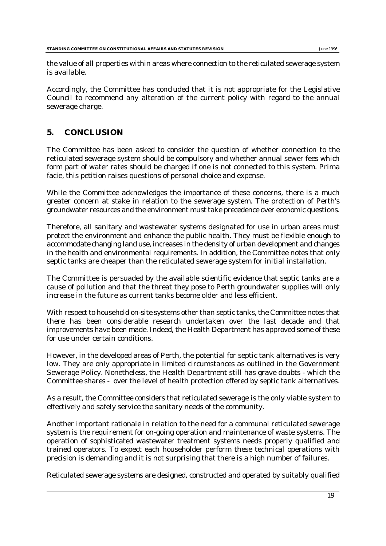the value of all properties within areas where connection to the reticulated sewerage system is available.

Accordingly, the Committee has concluded that it is not appropriate for the Legislative Council to recommend any alteration of the current policy with regard to the annual sewerage charge.

# **5. CONCLUSION**

The Committee has been asked to consider the question of whether connection to the reticulated sewerage system should be compulsory and whether annual sewer fees which form part of water rates should be charged if one is not connected to this system. Prima facie, this petition raises questions of personal choice and expense.

While the Committee acknowledges the importance of these concerns, there is a much greater concern at stake in relation to the sewerage system. The protection of Perth's groundwater resources and the environment must take precedence over economic questions.

Therefore, all sanitary and wastewater systems designated for use in urban areas must protect the environment and enhance the public health. They must be flexible enough to accommodate changing land use, increases in the density of urban development and changes in the health and environmental requirements. In addition, the Committee notes that only septic tanks are cheaper than the reticulated sewerage system for initial installation.

The Committee is persuaded by the available scientific evidence that septic tanks are a cause of pollution and that the threat they pose to Perth groundwater supplies will only increase in the future as current tanks become older and less efficient.

With respect to household on-site systems other than septic tanks, the Committee notes that there has been considerable research undertaken over the last decade and that improvements have been made. Indeed, the Health Department has approved some of these for use under certain conditions.

However, in the developed areas of Perth, the potential for septic tank alternatives is very low. They are only appropriate in limited circumstances as outlined in the Government Sewerage Policy. Nonetheless, the Health Department still has grave doubts - which the Committee shares - over the level of health protection offered by septic tank alternatives.

As a result, the Committee considers that reticulated sewerage is the only viable system to effectively and safely service the sanitary needs of the community.

Another important rationale in relation to the need for a communal reticulated sewerage system is the requirement for on-going operation and maintenance of waste systems. The operation of sophisticated wastewater treatment systems needs properly qualified and trained operators. To expect each householder perform these technical operations with precision is demanding and it is not surprising that there is a high number of failures.

Reticulated sewerage systems are designed, constructed and operated by suitably qualified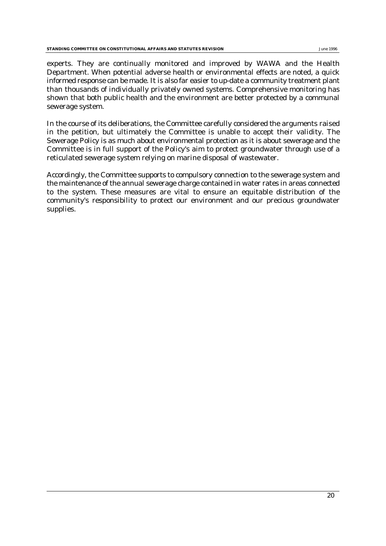experts. They are continually monitored and improved by WAWA and the Health Department. When potential adverse health or environmental effects are noted, a quick informed response can be made. It is also far easier to up-date a community treatment plant than thousands of individually privately owned systems. Comprehensive monitoring has shown that both public health and the environment are better protected by a communal sewerage system.

In the course of its deliberations, the Committee carefully considered the arguments raised in the petition, but ultimately the Committee is unable to accept their validity. The Sewerage Policy is as much about environmental protection as it is about sewerage and the Committee is in full support of the Policy's aim to protect groundwater through use of a reticulated sewerage system relying on marine disposal of wastewater.

Accordingly, the Committee supports to compulsory connection to the sewerage system and the maintenance of the annual sewerage charge contained in water rates in areas connected to the system. These measures are vital to ensure an equitable distribution of the community's responsibility to protect our environment and our precious groundwater supplies.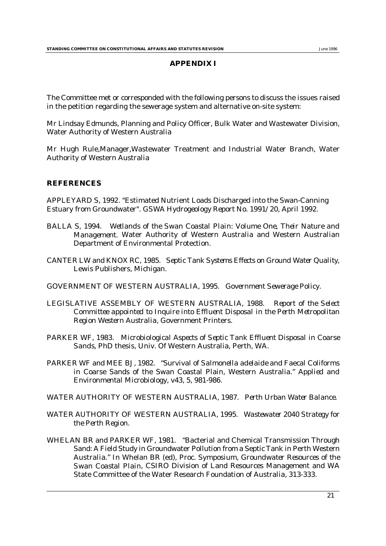#### **APPENDIX I**

The Committee met or corresponded with the following persons to discuss the issues raised in the petition regarding the sewerage system and alternative on-site system:

Mr Lindsay Edmunds, Planning and Policy Officer, Bulk Water and Wastewater Division, Water Authority of Western Australia

Mr Hugh Rule,Manager,Wastewater Treatment and Industrial Water Branch, Water Authority of Western Australia

#### **REFERENCES**

APPLEYARD S, 1992. "Estimated Nutrient Loads Discharged into the Swan-Canning Estuary from Groundwater". *GSWA Hydrogeology Report No. 1991/20*, April 1992.

- BALLA S, 1994. *Wetlands of the Swan Coastal Plain: Volume One, Their Nature and Management.* Water Authority of Western Australia and Western Australian Department of Environmental Protection.
- CANTER LW and KNOX RC, 1985. *Septic Tank Systems Effects on Ground Water Quality*, Lewis Publishers, Michigan.
- GOVERNMENT OF WESTERN AUSTRALIA, 1995. *Government Sewerage Policy*.
- LEGISLATIVE ASSEMBLY OF WESTERN AUSTRALIA, 1988. *Report of the Select Committee appointed to Inquire into Effluent Disposal in the Perth Metropolitan Region Western Australia*, Government Printers.
- PARKER WF, 1983. *Microbiological Aspects of Septic Tank Effluent Disposal in Coarse Sands*, PhD thesis, Univ. Of Western Australia, Perth, WA.
- PARKER WF and MEE BJ, 1982. "Survival of *Salmonella adelaide* and Faecal Coliforms in Coarse Sands of the Swan Coastal Plain, Western Australia." *Applied and Environmental Microbiology*, v43, 5, 981-986.
- WATER AUTHORITY OF WESTERN AUSTRALIA, 1987. *Perth Urban Water Balance*.
- WATER AUTHORITY OF WESTERN AUSTRALIA, 1995. *Wastewater 2040 Strategy for the Perth Region*.
- WHELAN BR and PARKER WF, 1981. "Bacterial and Chemical Transmission Through Sand: A Field Study in Groundwater Pollution from a Septic Tank in Perth Western Australia." In Whelan BR (ed), Proc. Symposium, *Groundwater Resources of the Swan Coastal Plain*, CSIRO Division of Land Resources Management and WA State Committee of the Water Research Foundation of Australia, 313-333.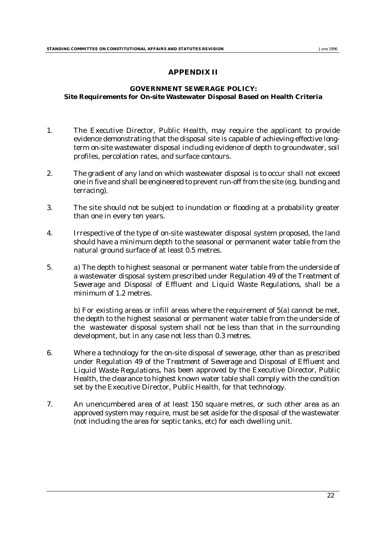#### **APPENDIX II**

#### **GOVERNMENT SEWERAGE POLICY: Site Requirements for On-site Wastewater Disposal Based on Health Criteria**

- 1. The Executive Director, Public Health, may require the applicant to provide evidence demonstrating that the disposal site is capable of achieving effective longterm on-site wastewater disposal including evidence of depth to groundwater, soil profiles, percolation rates, and surface contours.
- 2. The gradient of any land on which wastewater disposal is to occur shall not exceed one in five and shall be engineered to prevent run-off from the site (*e.g.* bunding and terracing).
- 3. The site should not be subject to inundation or flooding at a probability greater than one in every ten years.
- 4. Irrespective of the type of on-site wastewater disposal system proposed, the land should have a minimum depth to the seasonal or permanent water table from the natural ground surface of at least 0.5 metres.
- 5. a) The depth to highest seasonal or permanent water table from the underside of a wastewater disposal system prescribed under Regulation 49 of the *Treatment of Sewerage and Disposal of Effluent and Liquid Waste Regulations*, shall be a minimum of 1.2 metres.

b) For existing areas or infill areas where the requirement of 5(a) cannot be met, the depth to the highest seasonal or permanent water table from the underside of the wastewater disposal system shall not be less than that in the surrounding development, but in any case not less than 0.3 metres.

- 6. Where a technology for the on-site disposal of sewerage, other than as prescribed under Regulation 49 of the *Treatment of Sewerage and Disposal of Effluent and Liquid Waste Regulations*, has been approved by the Executive Director, Public Health, the clearance to highest known water table shall comply with the condition set by the Executive Director, Public Health, for that technology.
- 7. An unencumbered area of at least 150 square metres, or such other area as an approved system may require, must be set aside for the disposal of the wastewater (not including the area for septic tanks, etc) for each dwelling unit.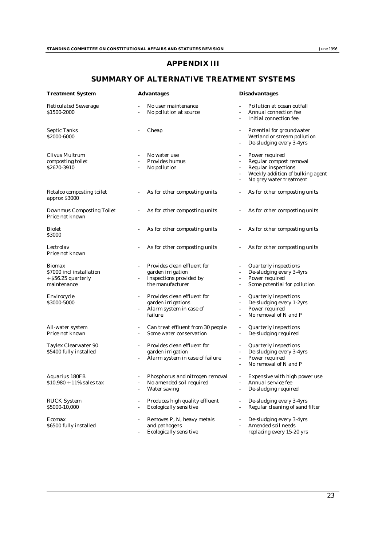## **APPENDIX III**

#### **SUMMARY OF ALTERNATIVE TREATMENT SYSTEMS**

| <b>Treatment System</b>                                                           | <b>Advantages</b>                                                                               | <b>Disadvantages</b>                                                                                                                                                                                     |  |  |
|-----------------------------------------------------------------------------------|-------------------------------------------------------------------------------------------------|----------------------------------------------------------------------------------------------------------------------------------------------------------------------------------------------------------|--|--|
| <b>Reticulated Sewerage</b><br>\$1500-2000                                        | No user maintenance<br>No pollution at source                                                   | Pollution at ocean outfall<br>Annual connection fee<br>$\omega$<br>Initial connection fee                                                                                                                |  |  |
| <b>Septic Tanks</b><br>\$2000-6000                                                | Cheap                                                                                           | Potential for groundwater<br>Wetland or stream pollution<br>De-sludging every 3-4yrs<br>$\blacksquare$                                                                                                   |  |  |
| Clivus Multrum<br>composting toilet<br>\$2670-3910                                | No water use<br>Provides humus<br>No pollution<br>$\overline{\phantom{a}}$                      | Power required<br>$\overline{\phantom{a}}$<br>Regular compost removal<br><b>Regular inspections</b><br>$\sim$<br>Weekly addition of bulking agent<br>No grey water treatment<br>$\overline{\phantom{a}}$ |  |  |
| Rotaloo composting toilet<br>approx \$3000                                        | As for other composting units                                                                   | As for other composting units                                                                                                                                                                            |  |  |
| <b>Downmus Composting Toilet</b><br>Price not known                               | As for other composting units                                                                   | As for other composting units                                                                                                                                                                            |  |  |
| <b>Biolet</b><br>\$3000                                                           | As for other composting units                                                                   | As for other composting units<br>$\blacksquare$                                                                                                                                                          |  |  |
| Lectrolay<br>Price not known                                                      | As for other composting units                                                                   | As for other composting units                                                                                                                                                                            |  |  |
| <b>Biomax</b><br>\$7000 incl installation<br>$+$ \$56.25 quarterly<br>maintenance | Provides clean effluent for<br>garden irrigation<br>Inspections provided by<br>the manufacturer | <b>Quarterly inspections</b><br>De-sludging every 3-4yrs<br>$\omega$<br>Power required<br>$\blacksquare$<br>Some potential for pollution<br>$\blacksquare$                                               |  |  |
| Envirocycle<br>\$3000-5000                                                        | Provides clean effluent for<br>garden irrigations<br>Alarm system in case of<br>failure         | <b>Quarterly inspections</b><br>De-sludging every 1-2yrs<br>$\blacksquare$<br>Power required<br>No removal of N and P                                                                                    |  |  |
| All-water system<br>Price not known                                               | Can treat effluent from 30 people<br>$\overline{\phantom{a}}$<br>Some water conservation        | <b>Quarterly inspections</b><br>$\sim$<br>De-sludging required<br>$\blacksquare$                                                                                                                         |  |  |
| <b>Taylex Clearwater 90</b><br>\$5400 fully installed                             | Provides clean effluent for<br>garden irrigation<br>Alarm system in case of failure             | <b>Quarterly inspections</b><br>De-sludging every 3-4yrs<br>Power required<br>$\omega$<br>No removal of N and P<br>$\blacksquare$                                                                        |  |  |
| Aquarius 180FB<br>$$10,980 + 11\%$ sales tax                                      | Phosphorus and nitrogen removal<br>No amended soil required<br><b>Water saving</b>              | Expensive with high power use<br>Annual service fee<br>De-sludging required                                                                                                                              |  |  |
| <b>RUCK System</b><br>\$5000-10,000                                               | Produces high quality effluent<br><b>Ecologically sensitive</b>                                 | De-sludging every 3-4yrs<br>$\blacksquare$<br>Regular cleaning of sand filter                                                                                                                            |  |  |
| Ecomax<br>\$6500 fully installed                                                  | Removes P, N, heavy metals<br>and pathogens<br><b>Ecologically sensitive</b>                    | De-sludging every 3-4yrs<br>Amended soil needs<br>replacing every 15-20 yrs                                                                                                                              |  |  |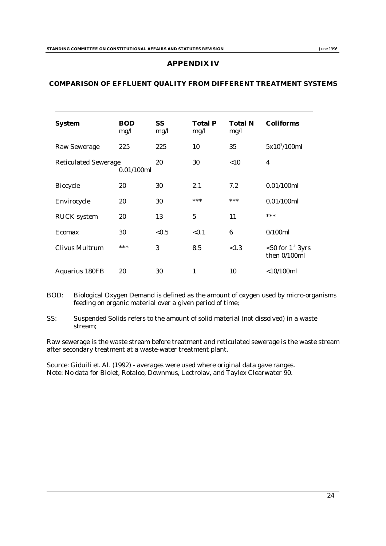#### **APPENDIX IV**

#### **COMPARISON OF EFFLUENT QUALITY FROM DIFFERENT TREATMENT SYSTEMS**

| <b>System</b>                             | <b>BOD</b><br>mg/l | SS.<br>mg/l | <b>Total P</b><br>mg/1 | <b>Total N</b><br>mg/1 | <b>Coliforms</b>                    |
|-------------------------------------------|--------------------|-------------|------------------------|------------------------|-------------------------------------|
| <b>Raw Sewerage</b>                       | 225                | 225         | 10                     | 35                     | $5x10^{7}/100ml$                    |
| <b>Reticulated Sewerage</b><br>0.01/100ml |                    | 20          | 30                     | < 10                   | $\overline{\mathbf{4}}$             |
| <b>Biocycle</b>                           | 20                 | 30          | 2.1                    | 7.2                    | 0.01/100ml                          |
| Envirocycle                               | 20                 | 30          | ***                    | ***                    | 0.01/100ml                          |
| <b>RUCK</b> system                        | 20                 | 13          | 5                      | 11                     | ***                                 |
| Ecomax                                    | 30                 | ${<}0.5$    | < 0.1                  | 6                      | 0/100ml                             |
| <b>Clivus Multrum</b>                     | ***                | 3           | 8.5                    | < 1.3                  | $<$ 50 for 1st 3yrs<br>then 0/100ml |
| <b>Aquarius 180FB</b>                     | 20                 | 30          | $\mathbf{1}$           | 10                     | $<$ 10/100 $ml$                     |

BOD: Biological Oxygen Demand is defined as the amount of oxygen used by micro-organisms feeding on organic material over a given period of time;

SS: Suspended Solids refers to the amount of solid material (not dissolved) in a waste stream;

Raw sewerage is the waste stream before treatment and reticulated sewerage is the waste stream after secondary treatment at a waste-water treatment plant.

Source: Giduili *et. Al.* (1992) - averages were used where original data gave ranges. Note: No data for Biolet, Rotaloo, Downmus, Lectrolav, and Taylex Clearwater 90.